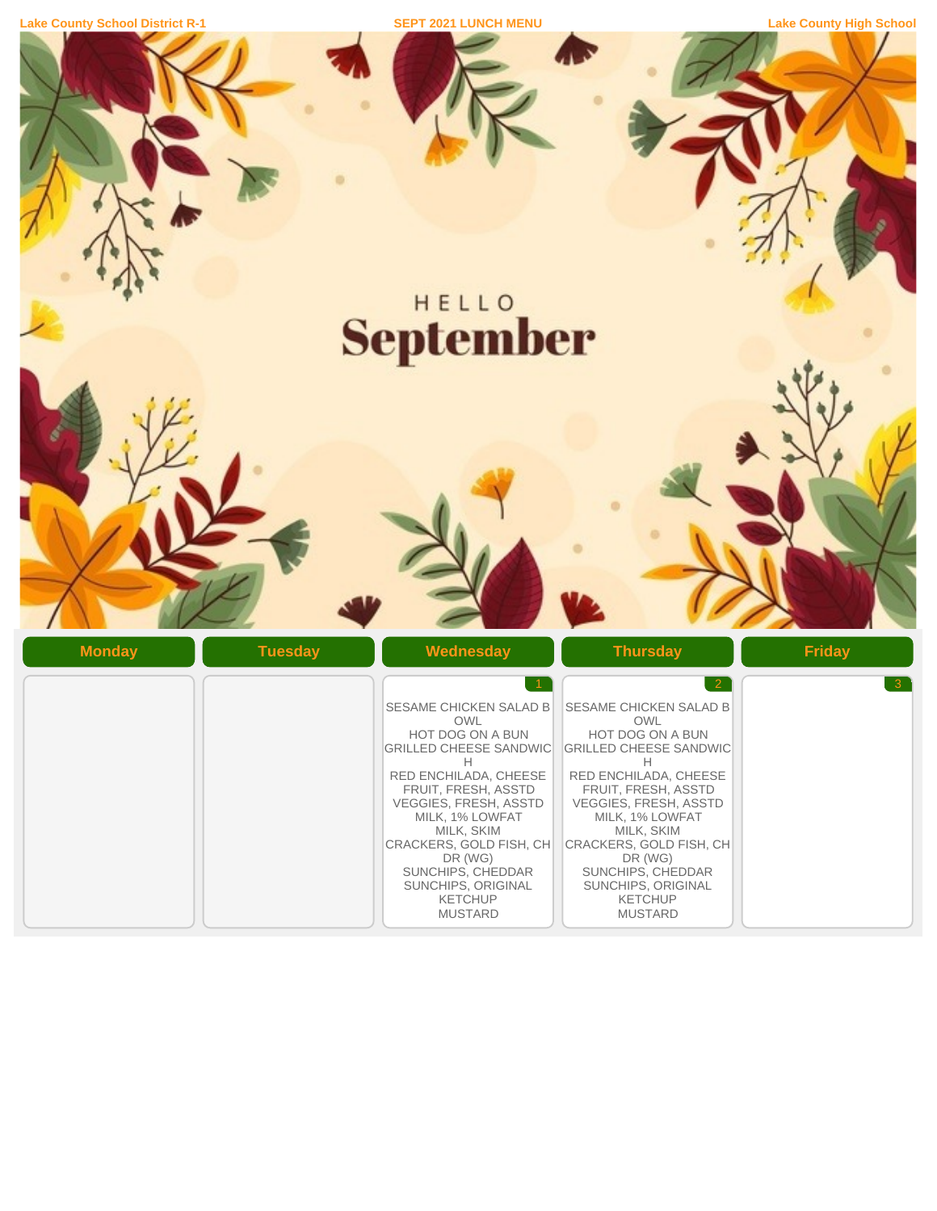| <b>Lake County School District R-1</b> |  |
|----------------------------------------|--|
|                                        |  |

**Lake County High School** District R-1 **District R-1 Lake County High School** 

**September** 

| <b>Monday</b><br><b>Tuesday</b> | Wednesday                                                                                                                                                                                                                                                                                                                     | <b>Thursday</b>                                                                                                                                                                                                                                                                                                                                 | <b>Friday</b>  |
|---------------------------------|-------------------------------------------------------------------------------------------------------------------------------------------------------------------------------------------------------------------------------------------------------------------------------------------------------------------------------|-------------------------------------------------------------------------------------------------------------------------------------------------------------------------------------------------------------------------------------------------------------------------------------------------------------------------------------------------|----------------|
|                                 | <b>SESAME CHICKEN SALAD B</b><br>OWL<br>HOT DOG ON A BUN<br><b>GRILLED CHEESE SANDWIC</b><br>H<br>RED ENCHILADA, CHEESE<br>FRUIT, FRESH, ASSTD<br>VEGGIES, FRESH, ASSTD<br>MILK, 1% LOWFAT<br>MILK, SKIM<br>CRACKERS, GOLD FISH, CH<br>DR (WG)<br>SUNCHIPS, CHEDDAR<br>SUNCHIPS, ORIGINAL<br><b>KETCHUP</b><br><b>MUSTARD</b> | $\overline{2}$<br>SESAME CHICKEN SALAD B<br><b>OWL</b><br>HOT DOG ON A BUN<br><b>GRILLED CHEESE SANDWIC</b><br>H<br>RED ENCHILADA, CHEESE<br>FRUIT, FRESH, ASSTD<br>VEGGIES, FRESH, ASSTD<br>MILK, 1% LOWFAT<br>MILK, SKIM<br>CRACKERS, GOLD FISH, CH<br>DR (WG)<br>SUNCHIPS, CHEDDAR<br>SUNCHIPS, ORIGINAL<br><b>KETCHUP</b><br><b>MUSTARD</b> | 3 <sup>°</sup> |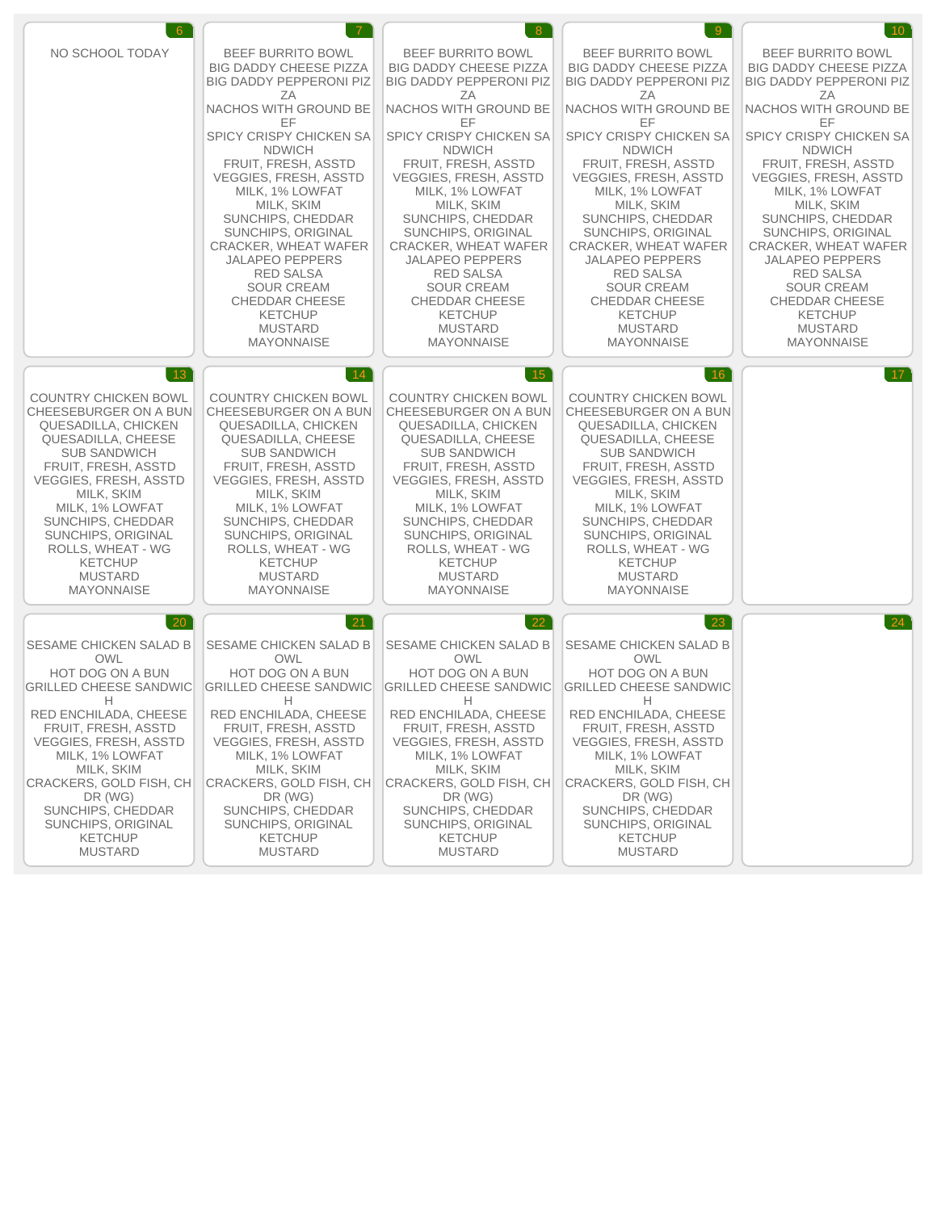| $6^{\circ}$                   | $\overline{7}$                 | 8 <sup>1</sup>                 | 9                              | 10 <sup>7</sup>                |
|-------------------------------|--------------------------------|--------------------------------|--------------------------------|--------------------------------|
| NO SCHOOL TODAY               | <b>BEEF BURRITO BOWL</b>       | <b>BEEF BURRITO BOWL</b>       | <b>BEEF BURRITO BOWL</b>       | <b>BEEF BURRITO BOWL</b>       |
|                               | <b>BIG DADDY CHEESE PIZZA</b>  | <b>BIG DADDY CHEESE PIZZA</b>  | <b>BIG DADDY CHEESE PIZZA</b>  | <b>BIG DADDY CHEESE PIZZA</b>  |
|                               | <b>BIG DADDY PEPPERONI PIZ</b> | <b>BIG DADDY PEPPERONI PIZ</b> | <b>BIG DADDY PEPPERONI PIZ</b> | <b>BIG DADDY PEPPERONI PIZ</b> |
|                               | ΖA                             | ΖA                             | ΖA                             | ΖA                             |
|                               | <b>NACHOS WITH GROUND BE</b>   | <b>NACHOS WITH GROUND BE</b>   | NACHOS WITH GROUND BE          | NACHOS WITH GROUND BE          |
|                               | ΕF                             | EF                             | EF                             | EF                             |
|                               | SPICY CRISPY CHICKEN SA        | SPICY CRISPY CHICKEN SA        | SPICY CRISPY CHICKEN SA        | SPICY CRISPY CHICKEN SA        |
|                               | <b>NDWICH</b>                  | <b>NDWICH</b>                  | <b>NDWICH</b>                  | <b>NDWICH</b>                  |
|                               | FRUIT, FRESH, ASSTD            | FRUIT, FRESH, ASSTD            | FRUIT, FRESH, ASSTD            | FRUIT, FRESH, ASSTD            |
|                               | <b>VEGGIES, FRESH, ASSTD</b>   | <b>VEGGIES, FRESH, ASSTD</b>   | <b>VEGGIES, FRESH, ASSTD</b>   | VEGGIES, FRESH, ASSTD          |
|                               | MILK, 1% LOWFAT                | MILK, 1% LOWFAT                | MILK, 1% LOWFAT                | MILK, 1% LOWFAT                |
|                               | MILK, SKIM                     | MILK, SKIM                     | MILK, SKIM                     | MILK, SKIM                     |
|                               | SUNCHIPS, CHEDDAR              | SUNCHIPS, CHEDDAR              | SUNCHIPS, CHEDDAR              | SUNCHIPS, CHEDDAR              |
|                               | SUNCHIPS, ORIGINAL             | SUNCHIPS, ORIGINAL             | SUNCHIPS, ORIGINAL             | SUNCHIPS, ORIGINAL             |
|                               | CRACKER, WHEAT WAFER           | CRACKER, WHEAT WAFER           | CRACKER, WHEAT WAFER           | CRACKER, WHEAT WAFER           |
|                               | <b>JALAPENO PEPPERS</b>        | <b>JALAPENO PEPPERS</b>        | <b>JALAPENO PEPPERS</b>        | <b>JALAPENO PEPPERS</b>        |
|                               | <b>RED SALSA</b>               | <b>RED SALSA</b>               | <b>RED SALSA</b>               | <b>RED SALSA</b>               |
|                               | <b>SOUR CREAM</b>              | <b>SOUR CREAM</b>              | <b>SOUR CREAM</b>              | <b>SOUR CREAM</b>              |
|                               | <b>CHEDDAR CHEESE</b>          | <b>CHEDDAR CHEESE</b>          | <b>CHEDDAR CHEESE</b>          | <b>CHEDDAR CHEESE</b>          |
|                               | <b>KETCHUP</b>                 | <b>KETCHUP</b>                 | <b>KETCHUP</b>                 | <b>KETCHUP</b>                 |
|                               | <b>MUSTARD</b>                 | <b>MUSTARD</b>                 | <b>MUSTARD</b>                 | <b>MUSTARD</b>                 |
|                               | <b>MAYONNAISE</b>              | <b>MAYONNAISE</b>              | <b>MAYONNAISE</b>              | <b>MAYONNAISE</b>              |
| 13                            | 14                             | $15^{\circ}$                   | 16 <sup>°</sup>                | 17                             |
| <b>COUNTRY CHICKEN BOWL</b>   | <b>COUNTRY CHICKEN BOWL</b>    | <b>COUNTRY CHICKEN BOWL</b>    | <b>COUNTRY CHICKEN BOWL</b>    |                                |
| CHEESEBURGER ON A BUN         | CHEESEBURGER ON A BUN          | CHEESEBURGER ON A BUN          | CHEESEBURGER ON A BUN          |                                |
| QUESADILLA, CHICKEN           | QUESADILLA, CHICKEN            | QUESADILLA, CHICKEN            | QUESADILLA, CHICKEN            |                                |
| QUESADILLA, CHEESE            | QUESADILLA, CHEESE             | QUESADILLA, CHEESE             | QUESADILLA, CHEESE             |                                |
| <b>SUB SANDWICH</b>           | <b>SUB SANDWICH</b>            | <b>SUB SANDWICH</b>            | <b>SUB SANDWICH</b>            |                                |
| FRUIT, FRESH, ASSTD           | FRUIT, FRESH, ASSTD            | FRUIT, FRESH, ASSTD            | FRUIT, FRESH, ASSTD            |                                |
| <b>VEGGIES, FRESH, ASSTD</b>  | <b>VEGGIES, FRESH, ASSTD</b>   | <b>VEGGIES, FRESH, ASSTD</b>   | <b>VEGGIES, FRESH, ASSTD</b>   |                                |
| MILK, SKIM                    | MILK, SKIM                     | MILK, SKIM                     | MILK, SKIM                     |                                |
| MILK, 1% LOWFAT               | MILK, 1% LOWFAT                | MILK, 1% LOWFAT                | MILK, 1% LOWFAT                |                                |
| SUNCHIPS, CHEDDAR             | SUNCHIPS, CHEDDAR              | SUNCHIPS, CHEDDAR              | SUNCHIPS, CHEDDAR              |                                |
| SUNCHIPS, ORIGINAL            | SUNCHIPS, ORIGINAL             | SUNCHIPS, ORIGINAL             | SUNCHIPS, ORIGINAL             |                                |
| ROLLS, WHEAT - WG             | ROLLS, WHEAT - WG              | ROLLS, WHEAT - WG              | ROLLS, WHEAT - WG              |                                |
| <b>KETCHUP</b>                | <b>KETCHUP</b>                 | <b>KETCHUP</b>                 | <b>KETCHUP</b>                 |                                |
| <b>MUSTARD</b>                | <b>MUSTARD</b>                 | <b>MUSTARD</b>                 | <b>MUSTARD</b>                 |                                |
| <b>MAYONNAISE</b>             | <b>MAYONNAISE</b>              | <b>MAYONNAISE</b>              | <b>MAYONNAISE</b>              |                                |
| <b>20</b>                     | 21                             | 22                             | 23                             |                                |
| <b>SESAME CHICKEN SALAD B</b> | <b>SESAME CHICKEN SALAD B</b>  | SESAME CHICKEN SALAD B         | SESAME CHICKEN SALAD B         |                                |
| <b>OWL</b>                    | <b>OWL</b>                     | <b>OWL</b>                     | <b>OWL</b>                     |                                |
| HOT DOG ON A BUN              | HOT DOG ON A BUN               | HOT DOG ON A BUN               | HOT DOG ON A BUN               |                                |
| <b>GRILLED CHEESE SANDWIC</b> | <b>GRILLED CHEESE SANDWIC</b>  | <b>GRILLED CHEESE SANDWIC</b>  | <b>GRILLED CHEESE SANDWIC</b>  |                                |
| Н                             | H                              | Н                              | H                              |                                |
| RED ENCHILADA, CHEESE         | RED ENCHILADA, CHEESE          | RED ENCHILADA, CHEESE          | RED ENCHILADA, CHEESE          |                                |
| FRUIT, FRESH, ASSTD           | FRUIT, FRESH, ASSTD            | FRUIT, FRESH, ASSTD            | FRUIT, FRESH, ASSTD            |                                |
| VEGGIES, FRESH, ASSTD         | <b>VEGGIES, FRESH, ASSTD</b>   | <b>VEGGIES, FRESH, ASSTD</b>   | VEGGIES, FRESH, ASSTD          |                                |
| MILK, 1% LOWFAT               | MILK, 1% LOWFAT                | MILK, 1% LOWFAT                | MILK, 1% LOWFAT                |                                |
| MILK, SKIM                    | MILK, SKIM                     | MILK, SKIM                     | MILK, SKIM                     |                                |
| CRACKERS, GOLD FISH, CH       | CRACKERS, GOLD FISH, CH        | CRACKERS, GOLD FISH, CH        | CRACKERS, GOLD FISH, CH        |                                |
| DR (WG)                       | DR (WG)                        | DR (WG)                        | DR (WG)                        |                                |
| SUNCHIPS, CHEDDAR             | SUNCHIPS, CHEDDAR              | SUNCHIPS, CHEDDAR              | SUNCHIPS, CHEDDAR              |                                |
| SUNCHIPS, ORIGINAL            | SUNCHIPS, ORIGINAL             | SUNCHIPS, ORIGINAL             | SUNCHIPS, ORIGINAL             |                                |
| <b>KETCHUP</b>                | <b>KETCHUP</b>                 | <b>KETCHUP</b>                 | <b>KETCHUP</b>                 |                                |
| <b>MUSTARD</b>                | <b>MUSTARD</b>                 | <b>MUSTARD</b>                 | <b>MUSTARD</b>                 |                                |